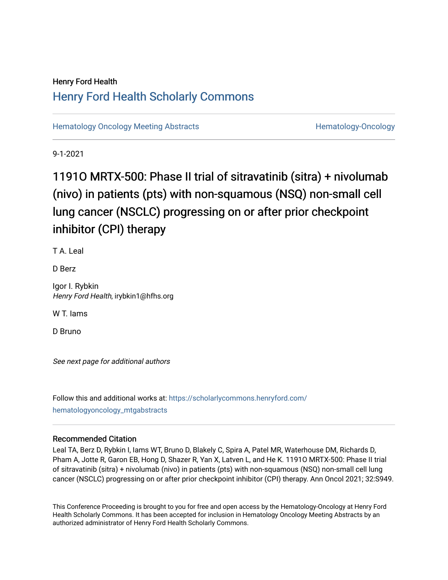## Henry Ford Health [Henry Ford Health Scholarly Commons](https://scholarlycommons.henryford.com/)

[Hematology Oncology Meeting Abstracts](https://scholarlycommons.henryford.com/hematologyoncology_mtgabstracts) **Hematology-Oncology-Oncology** 

9-1-2021

# 11910 MRTX-500: Phase II trial of sitravatinib (sitra) + nivolumab (nivo) in patients (pts) with non-squamous (NSQ) non-small cell lung cancer (NSCLC) progressing on or after prior checkpoint inhibitor (CPI) therapy

T A. Leal

D Berz

Igor I. Rybkin Henry Ford Health, irybkin1@hfhs.org

W T. Iams

D Bruno

See next page for additional authors

Follow this and additional works at: [https://scholarlycommons.henryford.com/](https://scholarlycommons.henryford.com/hematologyoncology_mtgabstracts?utm_source=scholarlycommons.henryford.com%2Fhematologyoncology_mtgabstracts%2F85&utm_medium=PDF&utm_campaign=PDFCoverPages) [hematologyoncology\\_mtgabstracts](https://scholarlycommons.henryford.com/hematologyoncology_mtgabstracts?utm_source=scholarlycommons.henryford.com%2Fhematologyoncology_mtgabstracts%2F85&utm_medium=PDF&utm_campaign=PDFCoverPages) 

## Recommended Citation

Leal TA, Berz D, Rybkin I, Iams WT, Bruno D, Blakely C, Spira A, Patel MR, Waterhouse DM, Richards D, Pham A, Jotte R, Garon EB, Hong D, Shazer R, Yan X, Latven L, and He K. 1191O MRTX-500: Phase II trial of sitravatinib (sitra) + nivolumab (nivo) in patients (pts) with non-squamous (NSQ) non-small cell lung cancer (NSCLC) progressing on or after prior checkpoint inhibitor (CPI) therapy. Ann Oncol 2021; 32:S949.

This Conference Proceeding is brought to you for free and open access by the Hematology-Oncology at Henry Ford Health Scholarly Commons. It has been accepted for inclusion in Hematology Oncology Meeting Abstracts by an authorized administrator of Henry Ford Health Scholarly Commons.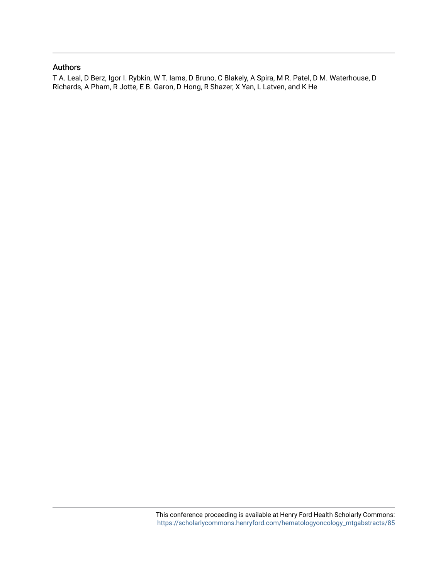### Authors

T A. Leal, D Berz, Igor I. Rybkin, W T. Iams, D Bruno, C Blakely, A Spira, M R. Patel, D M. Waterhouse, D Richards, A Pham, R Jotte, E B. Garon, D Hong, R Shazer, X Yan, L Latven, and K He